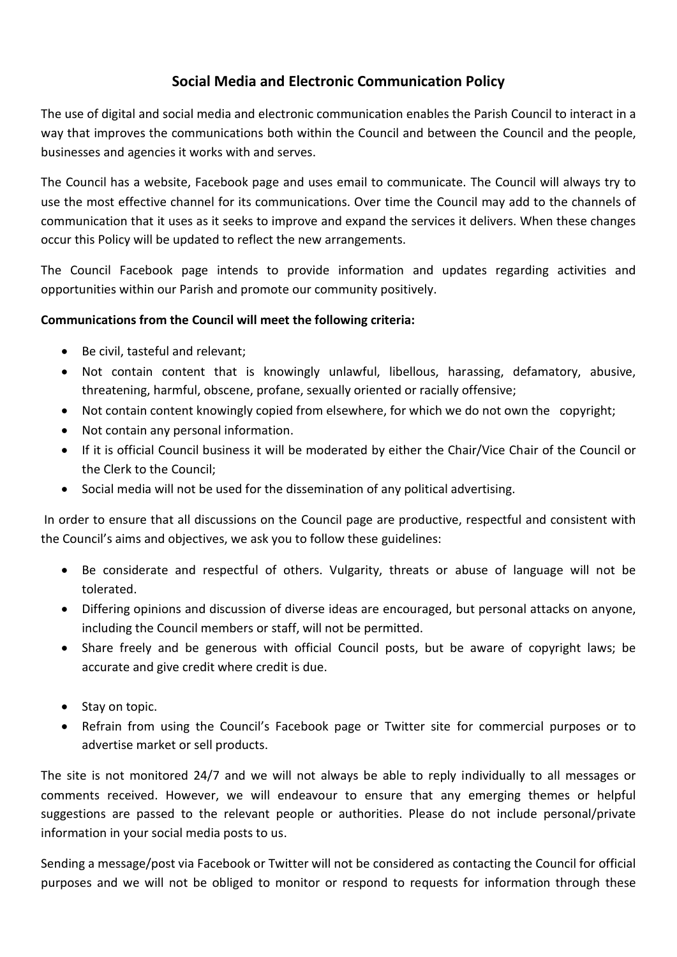# **Social Media and Electronic Communication Policy**

The use of digital and social media and electronic communication enables the Parish Council to interact in a way that improves the communications both within the Council and between the Council and the people, businesses and agencies it works with and serves.

The Council has a website, Facebook page and uses email to communicate. The Council will always try to use the most effective channel for its communications. Over time the Council may add to the channels of communication that it uses as it seeks to improve and expand the services it delivers. When these changes occur this Policy will be updated to reflect the new arrangements.

The Council Facebook page intends to provide information and updates regarding activities and opportunities within our Parish and promote our community positively.

### **Communications from the Council will meet the following criteria:**

- Be civil, tasteful and relevant;
- Not contain content that is knowingly unlawful, libellous, harassing, defamatory, abusive, threatening, harmful, obscene, profane, sexually oriented or racially offensive;
- Not contain content knowingly copied from elsewhere, for which we do not own the copyright;
- Not contain any personal information.
- If it is official Council business it will be moderated by either the Chair/Vice Chair of the Council or the Clerk to the Council;
- Social media will not be used for the dissemination of any political advertising.

In order to ensure that all discussions on the Council page are productive, respectful and consistent with the Council's aims and objectives, we ask you to follow these guidelines:

- Be considerate and respectful of others. Vulgarity, threats or abuse of language will not be tolerated.
- Differing opinions and discussion of diverse ideas are encouraged, but personal attacks on anyone, including the Council members or staff, will not be permitted.
- Share freely and be generous with official Council posts, but be aware of copyright laws; be accurate and give credit where credit is due.
- Stay on topic.
- Refrain from using the Council's Facebook page or Twitter site for commercial purposes or to advertise market or sell products.

The site is not monitored 24/7 and we will not always be able to reply individually to all messages or comments received. However, we will endeavour to ensure that any emerging themes or helpful suggestions are passed to the relevant people or authorities. Please do not include personal/private information in your social media posts to us.

Sending a message/post via Facebook or Twitter will not be considered as contacting the Council for official purposes and we will not be obliged to monitor or respond to requests for information through these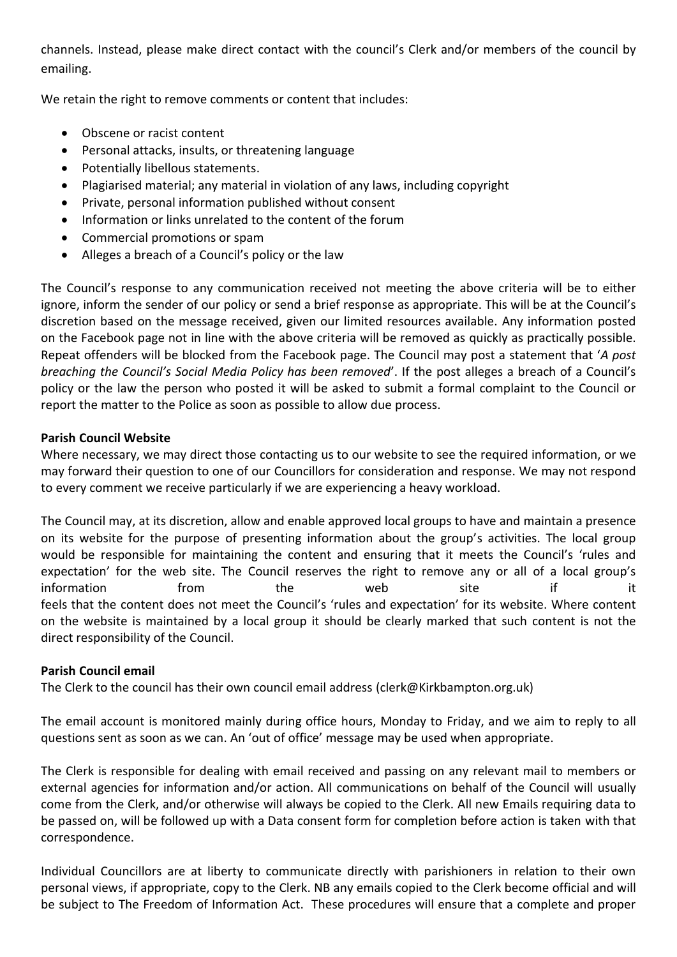channels. Instead, please make direct contact with the council's Clerk and/or members of the council by emailing.

We retain the right to remove comments or content that includes:

- Obscene or racist content
- Personal attacks, insults, or threatening language
- Potentially libellous statements.
- Plagiarised material; any material in violation of any laws, including copyright
- Private, personal information published without consent
- Information or links unrelated to the content of the forum
- Commercial promotions or spam
- Alleges a breach of a Council's policy or the law

The Council's response to any communication received not meeting the above criteria will be to either ignore, inform the sender of our policy or send a brief response as appropriate. This will be at the Council's discretion based on the message received, given our limited resources available. Any information posted on the Facebook page not in line with the above criteria will be removed as quickly as practically possible. Repeat offenders will be blocked from the Facebook page. The Council may post a statement that '*A post breaching the Council's Social Media Policy has been removed*'. If the post alleges a breach of a Council's policy or the law the person who posted it will be asked to submit a formal complaint to the Council or report the matter to the Police as soon as possible to allow due process.

### **Parish Council Website**

Where necessary, we may direct those contacting us to our website to see the required information, or we may forward their question to one of our Councillors for consideration and response. We may not respond to every comment we receive particularly if we are experiencing a heavy workload.

The Council may, at its discretion, allow and enable approved local groups to have and maintain a presence on its website for the purpose of presenting information about the group's activities. The local group would be responsible for maintaining the content and ensuring that it meets the Council's 'rules and expectation' for the web site. The Council reserves the right to remove any or all of a local group's information from the web site if it feels that the content does not meet the Council's 'rules and expectation' for its website. Where content on the website is maintained by a local group it should be clearly marked that such content is not the direct responsibility of the Council.

#### **Parish Council email**

The Clerk to the council has their own council email address (clerk@Kirkbampton.org.uk)

The email account is monitored mainly during office hours, Monday to Friday, and we aim to reply to all questions sent as soon as we can. An 'out of office' message may be used when appropriate.

The Clerk is responsible for dealing with email received and passing on any relevant mail to members or external agencies for information and/or action. All communications on behalf of the Council will usually come from the Clerk, and/or otherwise will always be copied to the Clerk. All new Emails requiring data to be passed on, will be followed up with a Data consent form for completion before action is taken with that correspondence.

Individual Councillors are at liberty to communicate directly with parishioners in relation to their own personal views, if appropriate, copy to the Clerk. NB any emails copied to the Clerk become official and will be subject to The Freedom of Information Act. These procedures will ensure that a complete and proper